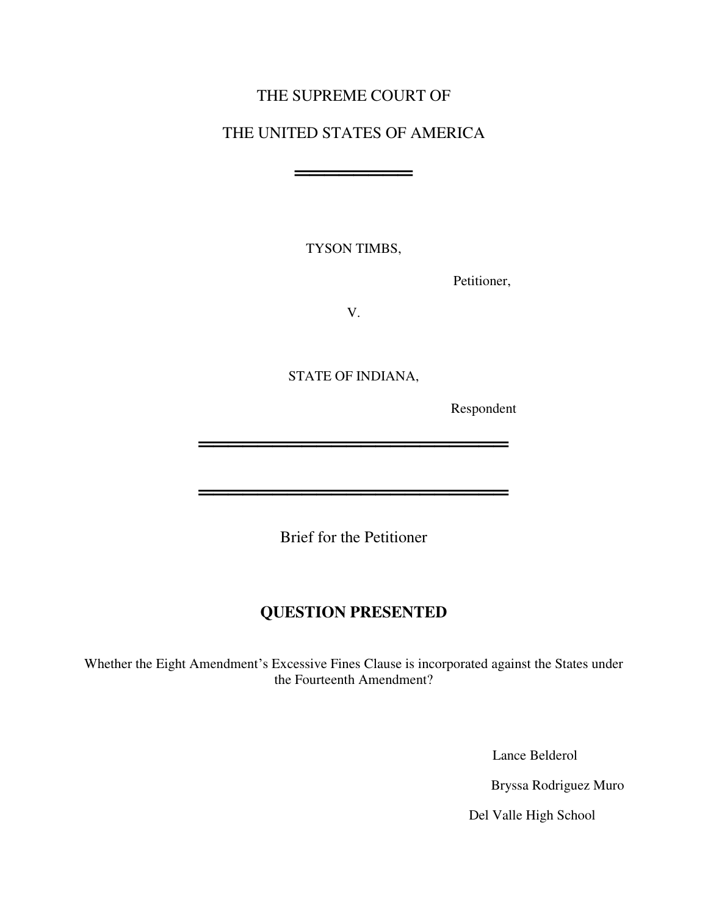# THE SUPREME COURT OF

# THE UNITED STATES OF AMERICA

═══════════════════════════

TYSON TIMBS,

Petitioner,

V.

STATE OF INDIANA,

═════════════════════

═════════════════════

Respondent

Brief for the Petitioner

# **QUESTION PRESENTED**

Whether the Eight Amendment's Excessive Fines Clause is incorporated against the States under the Fourteenth Amendment?

Lance Belderol

Bryssa Rodriguez Muro

Del Valle High School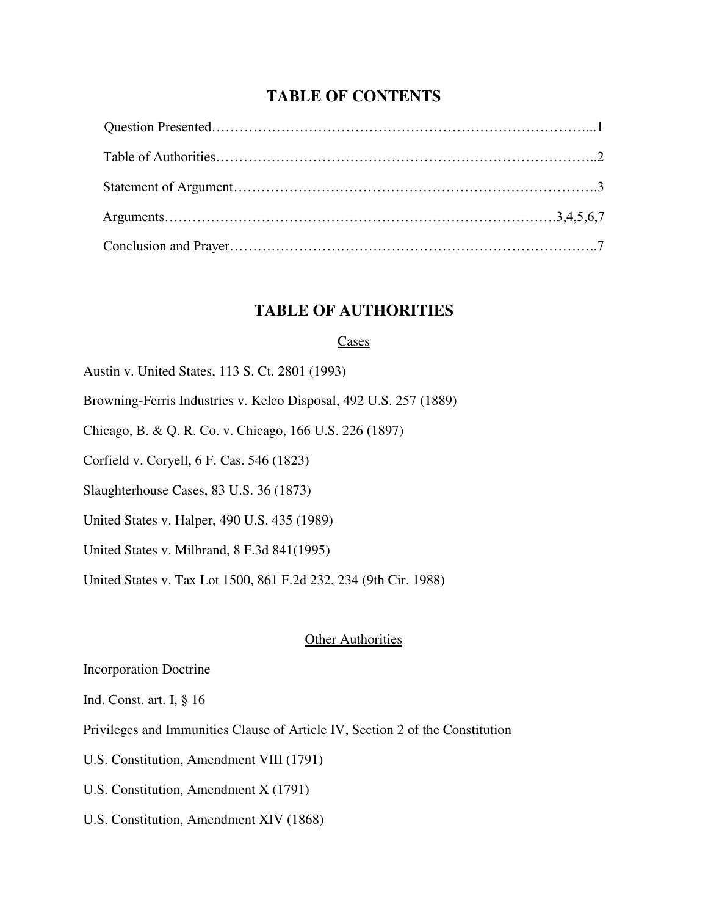## **TABLE OF CONTENTS**

## **TABLE OF AUTHORITIES**

#### Cases

- Austin v. United States, 113 S. Ct. 2801 (1993)
- Browning-Ferris Industries v. Kelco Disposal, 492 U.S. 257 (1889)
- Chicago, B. & Q. R. Co. v. Chicago, 166 U.S. 226 (1897)
- Corfield v. Coryell, 6 F. Cas. 546 (1823)
- Slaughterhouse Cases, 83 U.S. 36 (1873)
- United States v. Halper, 490 U.S. 435 (1989)
- United States v. Milbrand, 8 F.3d 841(1995)
- United States v. Tax Lot 1500, 861 F.2d 232, 234 (9th Cir. 1988)

#### **Other Authorities**

- Incorporation Doctrine
- Ind. Const. art. I, § 16
- Privileges and Immunities Clause of [Article IV,](http://www.law.cornell.edu/constitution/constitution.articleiv.html) Section 2 of the Constitution
- U.S. Constitution, Amendment VIII (1791)
- U.S. Constitution, Amendment X (1791)
- U.S. Constitution, Amendment XIV (1868)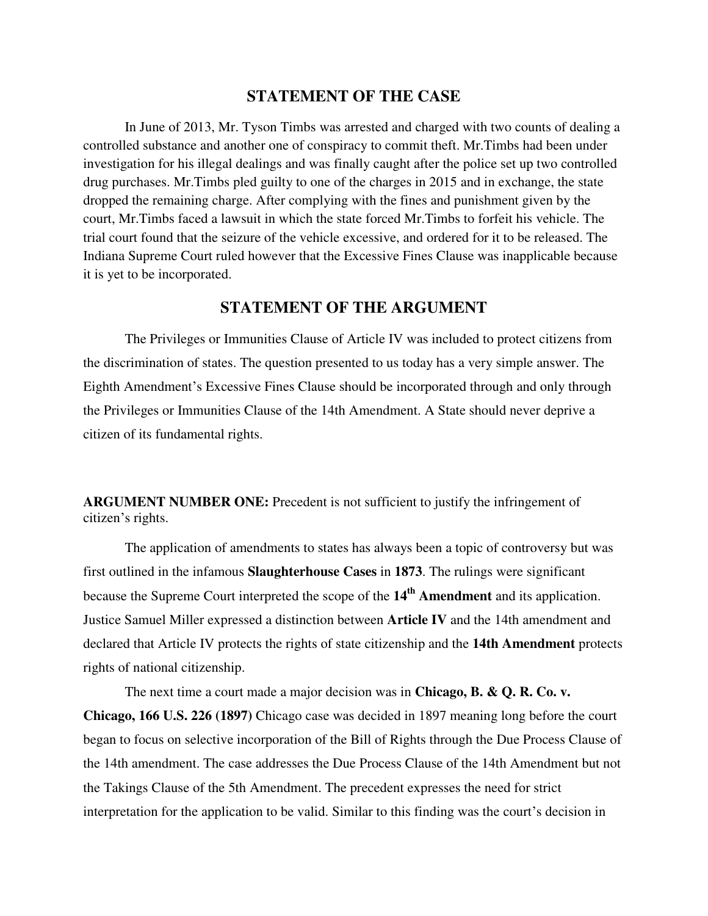## **STATEMENT OF THE CASE**

In June of 2013, Mr. Tyson Timbs was arrested and charged with two counts of dealing a controlled substance and another one of conspiracy to commit theft. Mr.Timbs had been under investigation for his illegal dealings and was finally caught after the police set up two controlled drug purchases. Mr.Timbs pled guilty to one of the charges in 2015 and in exchange, the state dropped the remaining charge. After complying with the fines and punishment given by the court, Mr.Timbs faced a lawsuit in which the state forced Mr.Timbs to forfeit his vehicle. The trial court found that the seizure of the vehicle excessive, and ordered for it to be released. The Indiana Supreme Court ruled however that the Excessive Fines Clause was inapplicable because it is yet to be incorporated.

### **STATEMENT OF THE ARGUMENT**

The Privileges or Immunities Clause of Article IV was included to protect citizens from the discrimination of states. The question presented to us today has a very simple answer. The Eighth Amendment's Excessive Fines Clause should be incorporated through and only through the Privileges or Immunities Clause of the 14th Amendment. A State should never deprive a citizen of its fundamental rights.

**ARGUMENT NUMBER ONE:** Precedent is not sufficient to justify the infringement of citizen's rights.

 The application of amendments to states has always been a topic of controversy but was first outlined in the infamous **Slaughterhouse Cases** in **1873**. The rulings were significant because the Supreme Court interpreted the scope of the **14th Amendment** and its application. Justice Samuel Miller expressed a distinction between **Article IV** and the 14th amendment and declared that Article IV protects the rights of state citizenship and the **14th Amendment** protects rights of national citizenship.

The next time a court made a major decision was in **Chicago, B. & Q. R. Co. v. Chicago, 166 U.S. 226 (1897)** Chicago case was decided in 1897 meaning long before the court began to focus on selective incorporation of the Bill of Rights through the Due Process Clause of the 14th amendment. The case addresses the Due Process Clause of the 14th Amendment but not the Takings Clause of the 5th Amendment. The precedent expresses the need for strict interpretation for the application to be valid. Similar to this finding was the court's decision in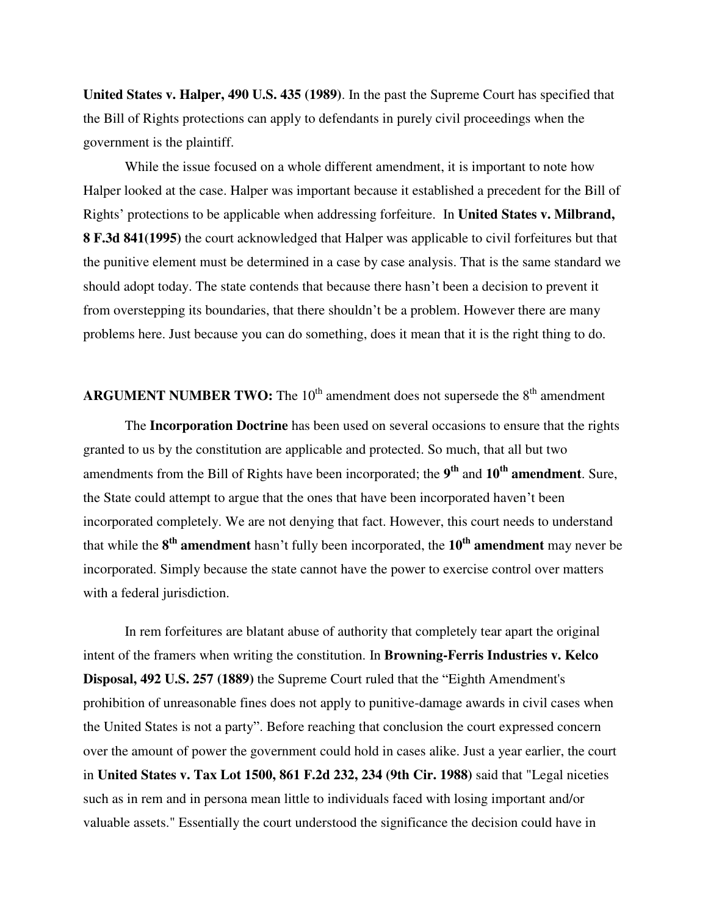**United States v. Halper, 490 U.S. 435 (1989)**. In the past the Supreme Court has specified that the Bill of Rights protections can apply to defendants in purely civil proceedings when the government is the plaintiff.

While the issue focused on a whole different amendment, it is important to note how Halper looked at the case. Halper was important because it established a precedent for the Bill of Rights' protections to be applicable when addressing forfeiture. In **United States v. Milbrand, 8 F.3d 841(1995)** the court acknowledged that Halper was applicable to civil forfeitures but that the punitive element must be determined in a case by case analysis. That is the same standard we should adopt today. The state contends that because there hasn't been a decision to prevent it from overstepping its boundaries, that there shouldn't be a problem. However there are many problems here. Just because you can do something, does it mean that it is the right thing to do.

## **ARGUMENT NUMBER TWO:** The  $10<sup>th</sup>$  amendment does not supersede the  $8<sup>th</sup>$  amendment

The **Incorporation Doctrine** has been used on several occasions to ensure that the rights granted to us by the constitution are applicable and protected. So much, that all but two amendments from the Bill of Rights have been incorporated; the **9 th** and **10th amendment**. Sure, the State could attempt to argue that the ones that have been incorporated haven't been incorporated completely. We are not denying that fact. However, this court needs to understand that while the **8 th amendment** hasn't fully been incorporated, the **10th amendment** may never be incorporated. Simply because the state cannot have the power to exercise control over matters with a federal jurisdiction.

In rem forfeitures are blatant abuse of authority that completely tear apart the original intent of the framers when writing the constitution. In **Browning-Ferris Industries v. Kelco Disposal, 492 U.S. 257 (1889)** the Supreme Court ruled that the "Eighth Amendment's prohibition of unreasonable fines does not apply to punitive-damage awards in civil cases when the United States is not a party". Before reaching that conclusion the court expressed concern over the amount of power the government could hold in cases alike. Just a year earlier, the court in **United States v. Tax Lot 1500, 861 F.2d 232, 234 (9th Cir. 1988)** said that "Legal niceties such as in rem and in persona mean little to individuals faced with losing important and/or valuable assets." Essentially the court understood the significance the decision could have in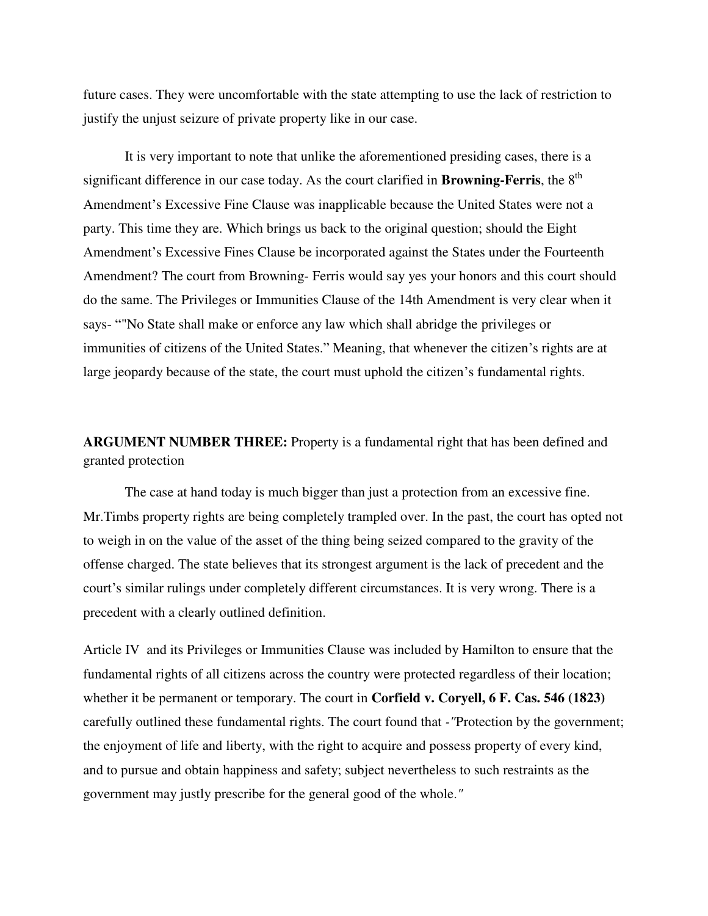future cases. They were uncomfortable with the state attempting to use the lack of restriction to justify the unjust seizure of private property like in our case.

It is very important to note that unlike the aforementioned presiding cases, there is a significant difference in our case today. As the court clarified in **Browning-Ferris**, the 8<sup>th</sup> Amendment's Excessive Fine Clause was inapplicable because the United States were not a party. This time they are. Which brings us back to the original question; should the Eight Amendment's Excessive Fines Clause be incorporated against the States under the Fourteenth Amendment? The court from Browning- Ferris would say yes your honors and this court should do the same. The Privileges or Immunities Clause of the 14th Amendment is very clear when it says- ""No State shall make or enforce any law which shall abridge the privileges or immunities of citizens of the United States." Meaning, that whenever the citizen's rights are at large jeopardy because of the state, the court must uphold the citizen's fundamental rights.

**ARGUMENT NUMBER THREE:** Property is a fundamental right that has been defined and granted protection

 The case at hand today is much bigger than just a protection from an excessive fine. Mr.Timbs property rights are being completely trampled over. In the past, the court has opted not to weigh in on the value of the asset of the thing being seized compared to the gravity of the offense charged. The state believes that its strongest argument is the lack of precedent and the court's similar rulings under completely different circumstances. It is very wrong. There is a precedent with a clearly outlined definition.

Article IV and its Privileges or Immunities Clause was included by Hamilton to ensure that the fundamental rights of all citizens across the country were protected regardless of their location; whether it be permanent or temporary. The court in **Corfield v. Coryell, 6 F. Cas. 546 (1823)**  carefully outlined these fundamental rights. The court found that *-"*Protection by the government; the enjoyment of life and liberty, with the right to acquire and possess property of every kind, and to pursue and obtain happiness and safety; subject nevertheless to such restraints as the government may justly prescribe for the general good of the whole.*"*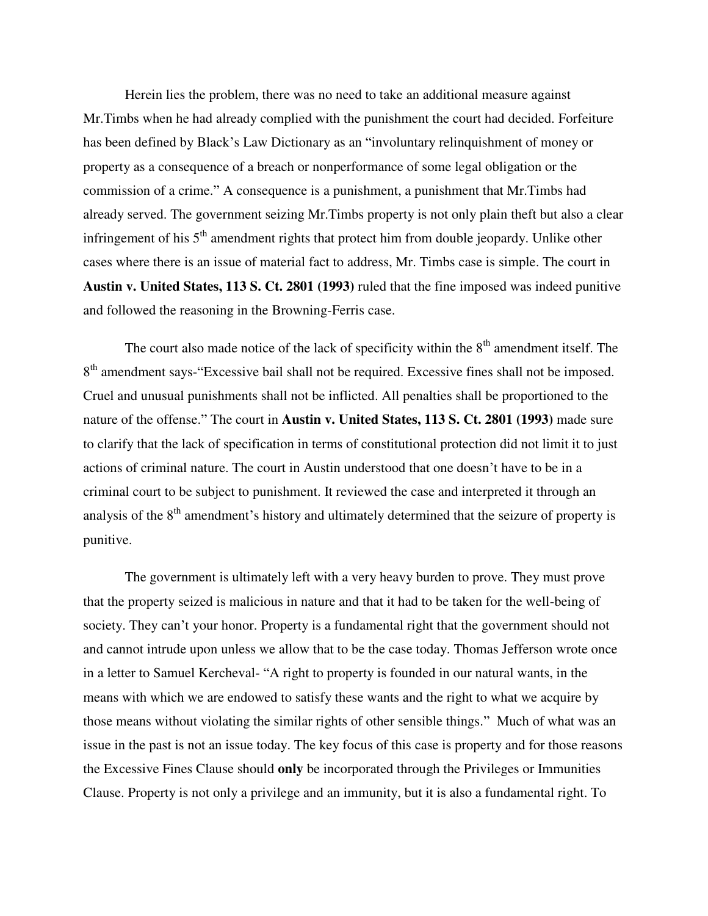Herein lies the problem, there was no need to take an additional measure against Mr.Timbs when he had already complied with the punishment the court had decided. Forfeiture has been defined by Black's Law Dictionary as an "involuntary relinquishment of money or property as a consequence of a breach or nonperformance of some legal obligation or the commission of a crime." A consequence is a punishment, a punishment that Mr.Timbs had already served. The government seizing Mr.Timbs property is not only plain theft but also a clear infringement of his  $5<sup>th</sup>$  amendment rights that protect him from double jeopardy. Unlike other cases where there is an issue of material fact to address, Mr. Timbs case is simple. The court in **Austin v. United States, 113 S. Ct. 2801 (1993)** ruled that the fine imposed was indeed punitive and followed the reasoning in the Browning-Ferris case.

The court also made notice of the lack of specificity within the  $8<sup>th</sup>$  amendment itself. The 8<sup>th</sup> amendment says-"Excessive bail shall not be required. Excessive fines shall not be imposed. Cruel and unusual punishments shall not be inflicted. All penalties shall be proportioned to the nature of the offense." The court in **Austin v. United States, 113 S. Ct. 2801 (1993)** made sure to clarify that the lack of specification in terms of constitutional protection did not limit it to just actions of criminal nature. The court in Austin understood that one doesn't have to be in a criminal court to be subject to punishment. It reviewed the case and interpreted it through an analysis of the  $8<sup>th</sup>$  amendment's history and ultimately determined that the seizure of property is punitive.

The government is ultimately left with a very heavy burden to prove. They must prove that the property seized is malicious in nature and that it had to be taken for the well-being of society. They can't your honor. Property is a fundamental right that the government should not and cannot intrude upon unless we allow that to be the case today. Thomas Jefferson wrote once in a letter to Samuel Kercheval- "A right to property is founded in our natural wants, in the means with which we are endowed to satisfy these wants and the right to what we acquire by those means without violating the similar rights of other sensible things." Much of what was an issue in the past is not an issue today. The key focus of this case is property and for those reasons the Excessive Fines Clause should **only** be incorporated through the Privileges or Immunities Clause. Property is not only a privilege and an immunity, but it is also a fundamental right. To